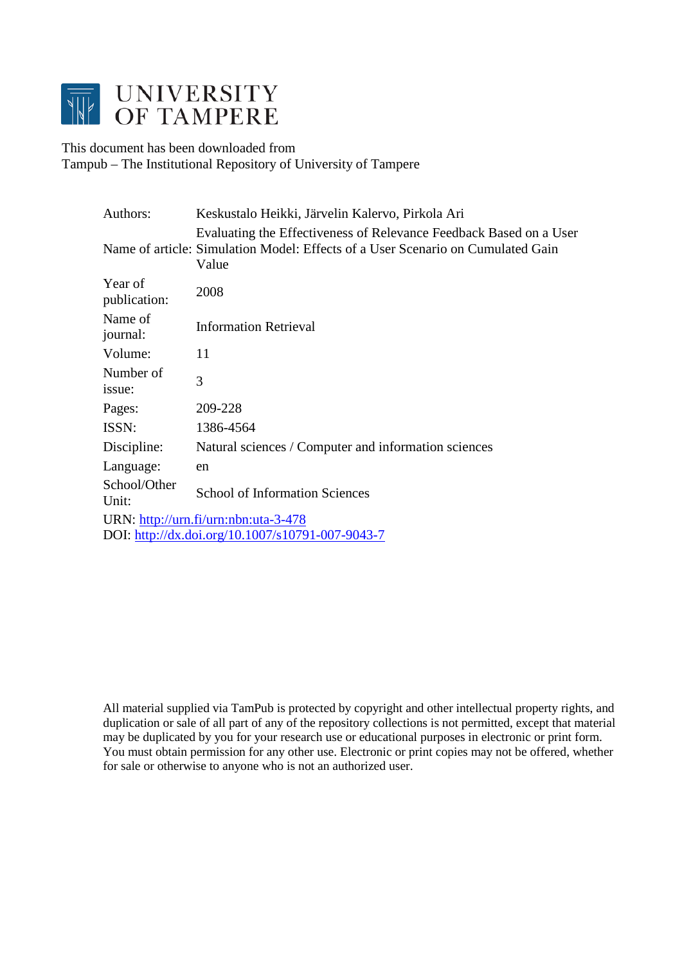

This document has been downloaded from Tampub – The Institutional Repository of University of Tampere

| Authors:                | Keskustalo Heikki, Järvelin Kalervo, Pirkola Ari                                                                                                               |
|-------------------------|----------------------------------------------------------------------------------------------------------------------------------------------------------------|
|                         | Evaluating the Effectiveness of Relevance Feedback Based on a User<br>Name of article: Simulation Model: Effects of a User Scenario on Cumulated Gain<br>Value |
| Year of<br>publication: | 2008                                                                                                                                                           |
| Name of<br>journal:     | <b>Information Retrieval</b>                                                                                                                                   |
| Volume:                 | 11                                                                                                                                                             |
| Number of<br>issue:     | 3                                                                                                                                                              |
| Pages:                  | 209-228                                                                                                                                                        |
| ISSN:                   | 1386-4564                                                                                                                                                      |
| Discipline:             | Natural sciences / Computer and information sciences                                                                                                           |
| Language:               | en                                                                                                                                                             |
| School/Other<br>Unit:   | <b>School of Information Sciences</b>                                                                                                                          |
|                         | URN: http://urn.fi/urn:nbn:uta-3-478                                                                                                                           |
|                         | DOI: http://dx.doi.org/10.1007/s10791-007-9043-7                                                                                                               |

All material supplied via TamPub is protected by copyright and other intellectual property rights, and duplication or sale of all part of any of the repository collections is not permitted, except that material may be duplicated by you for your research use or educational purposes in electronic or print form. You must obtain permission for any other use. Electronic or print copies may not be offered, whether for sale or otherwise to anyone who is not an authorized user.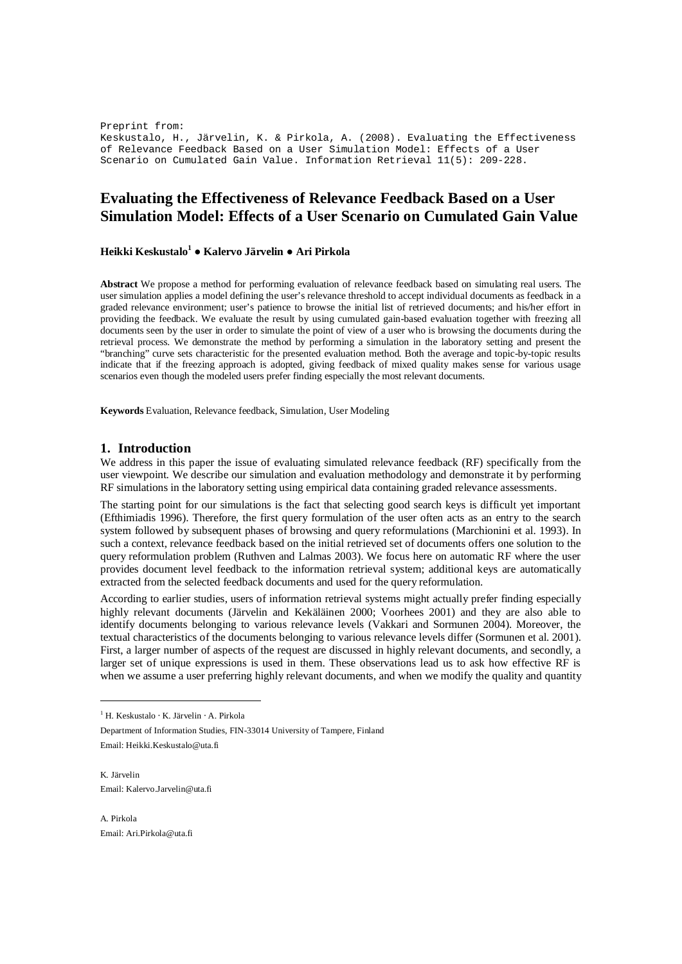Preprint from: Keskustalo, H., Järvelin, K. & Pirkola, A. (2008). Evaluating the Effectiveness of Relevance Feedback Based on a User Simulation Model: Effects of a User Scenario on Cumulated Gain Value. Information Retrieval 11(5): 209-228.

# **Evaluating the Effectiveness of Relevance Feedback Based on a User Simulation Model: Effects of a User Scenario on Cumulated Gain Value**

## **Heikki Keskustalo<sup>1</sup> Ɣ Kalervo Järvelin Ɣ Ari Pirkola**

**Abstract** We propose a method for performing evaluation of relevance feedback based on simulating real users. The user simulation applies a model defining the user's relevance threshold to accept individual documents as feedback in a graded relevance environment; user's patience to browse the initial list of retrieved documents; and his/her effort in providing the feedback. We evaluate the result by using cumulated gain-based evaluation together with freezing all documents seen by the user in order to simulate the point of view of a user who is browsing the documents during the retrieval process. We demonstrate the method by performing a simulation in the laboratory setting and present the "branching" curve sets characteristic for the presented evaluation method. Both the average and topic-by-topic results indicate that if the freezing approach is adopted, giving feedback of mixed quality makes sense for various usage scenarios even though the modeled users prefer finding especially the most relevant documents.

**Keywords** Evaluation, Relevance feedback, Simulation, User Modeling

## **1. Introduction**

We address in this paper the issue of evaluating simulated relevance feedback (RF) specifically from the user viewpoint. We describe our simulation and evaluation methodology and demonstrate it by performing RF simulations in the laboratory setting using empirical data containing graded relevance assessments.

The starting point for our simulations is the fact that selecting good search keys is difficult yet important (Efthimiadis 1996). Therefore, the first query formulation of the user often acts as an entry to the search system followed by subsequent phases of browsing and query reformulations (Marchionini et al. 1993). In such a context, relevance feedback based on the initial retrieved set of documents offers one solution to the query reformulation problem (Ruthven and Lalmas 2003). We focus here on automatic RF where the user provides document level feedback to the information retrieval system; additional keys are automatically extracted from the selected feedback documents and used for the query reformulation.

According to earlier studies, users of information retrieval systems might actually prefer finding especially highly relevant documents (Järvelin and Kekäläinen 2000; Voorhees 2001) and they are also able to identify documents belonging to various relevance levels (Vakkari and Sormunen 2004). Moreover, the textual characteristics of the documents belonging to various relevance levels differ (Sormunen et al. 2001). First, a larger number of aspects of the request are discussed in highly relevant documents, and secondly, a larger set of unique expressions is used in them. These observations lead us to ask how effective RF is when we assume a user preferring highly relevant documents, and when we modify the quality and quantity

Department of Information Studies, FIN-33014 University of Tampere, Finland Email: [Heikki.Keskustalo@uta.fi](mailto:Heikki.Keskustalo@uta.fi)

K. Järvelin Email: [Kalervo.Jarvelin@uta.fi](mailto:Kalervo.Jarvelin@uta.fi)

A. Pirkola Email: [Ari.Pirkola@uta.fi](mailto:Ari.Pirkola@uta.fi)

<sup>1</sup> H. Keskustalo ⋅ K. Järvelin ⋅ A. Pirkola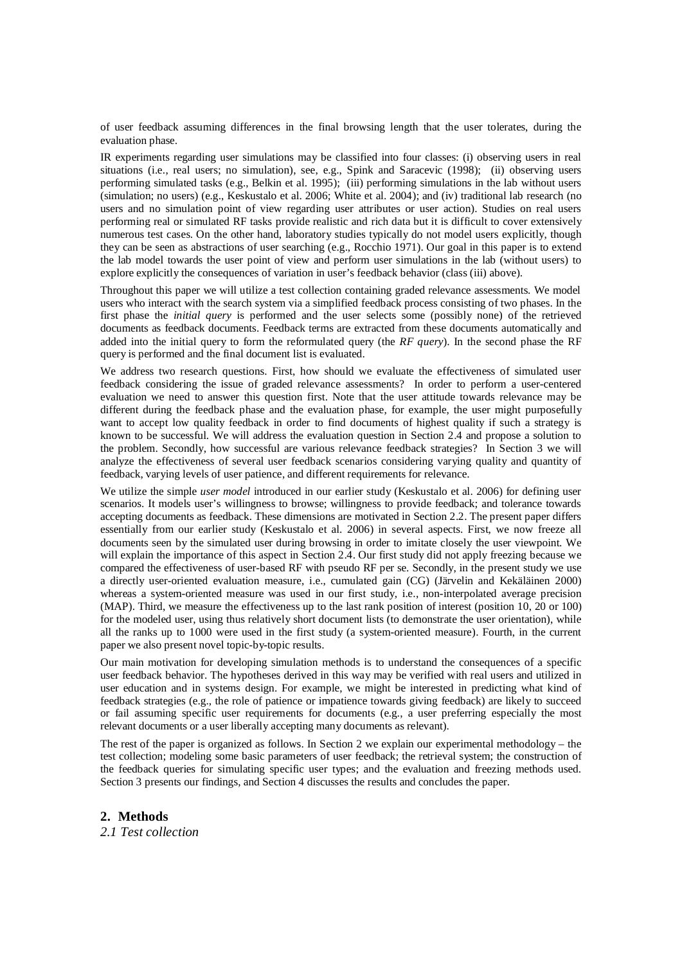of user feedback assuming differences in the final browsing length that the user tolerates, during the evaluation phase.

IR experiments regarding user simulations may be classified into four classes: (i) observing users in real situations (i.e., real users; no simulation), see, e.g., Spink and Saracevic (1998); (ii) observing users performing simulated tasks (e.g., Belkin et al. 1995); (iii) performing simulations in the lab without users (simulation; no users) (e.g., Keskustalo et al. 2006; White et al. 2004); and (iv) traditional lab research (no users and no simulation point of view regarding user attributes or user action). Studies on real users performing real or simulated RF tasks provide realistic and rich data but it is difficult to cover extensively numerous test cases. On the other hand, laboratory studies typically do not model users explicitly, though they can be seen as abstractions of user searching (e.g., Rocchio 1971). Our goal in this paper is to extend the lab model towards the user point of view and perform user simulations in the lab (without users) to explore explicitly the consequences of variation in user's feedback behavior (class (iii) above).

Throughout this paper we will utilize a test collection containing graded relevance assessments. We model users who interact with the search system via a simplified feedback process consisting of two phases. In the first phase the *initial query* is performed and the user selects some (possibly none) of the retrieved documents as feedback documents. Feedback terms are extracted from these documents automatically and added into the initial query to form the reformulated query (the *RF query*). In the second phase the RF query is performed and the final document list is evaluated.

We address two research questions. First, how should we evaluate the effectiveness of simulated user feedback considering the issue of graded relevance assessments? In order to perform a user-centered evaluation we need to answer this question first. Note that the user attitude towards relevance may be different during the feedback phase and the evaluation phase, for example, the user might purposefully want to accept low quality feedback in order to find documents of highest quality if such a strategy is known to be successful. We will address the evaluation question in Section 2.4 and propose a solution to the problem. Secondly, how successful are various relevance feedback strategies? In Section 3 we will analyze the effectiveness of several user feedback scenarios considering varying quality and quantity of feedback, varying levels of user patience, and different requirements for relevance.

We utilize the simple *user model* introduced in our earlier study (Keskustalo et al. 2006) for defining user scenarios. It models user's willingness to browse; willingness to provide feedback; and tolerance towards accepting documents as feedback. These dimensions are motivated in Section 2.2. The present paper differs essentially from our earlier study (Keskustalo et al. 2006) in several aspects. First, we now freeze all documents seen by the simulated user during browsing in order to imitate closely the user viewpoint. We will explain the importance of this aspect in Section 2.4. Our first study did not apply freezing because we compared the effectiveness of user-based RF with pseudo RF per se. Secondly, in the present study we use a directly user-oriented evaluation measure, i.e., cumulated gain (CG) (Järvelin and Kekäläinen 2000) whereas a system-oriented measure was used in our first study, i.e., non-interpolated average precision (MAP). Third, we measure the effectiveness up to the last rank position of interest (position 10, 20 or 100) for the modeled user, using thus relatively short document lists (to demonstrate the user orientation), while all the ranks up to 1000 were used in the first study (a system-oriented measure). Fourth, in the current paper we also present novel topic-by-topic results.

Our main motivation for developing simulation methods is to understand the consequences of a specific user feedback behavior. The hypotheses derived in this way may be verified with real users and utilized in user education and in systems design. For example, we might be interested in predicting what kind of feedback strategies (e.g., the role of patience or impatience towards giving feedback) are likely to succeed or fail assuming specific user requirements for documents (e.g., a user preferring especially the most relevant documents or a user liberally accepting many documents as relevant).

The rest of the paper is organized as follows. In Section 2 we explain our experimental methodology – the test collection; modeling some basic parameters of user feedback; the retrieval system; the construction of the feedback queries for simulating specific user types; and the evaluation and freezing methods used. Section 3 presents our findings, and Section 4 discusses the results and concludes the paper.

**2. Methods** *2.1 Test collection*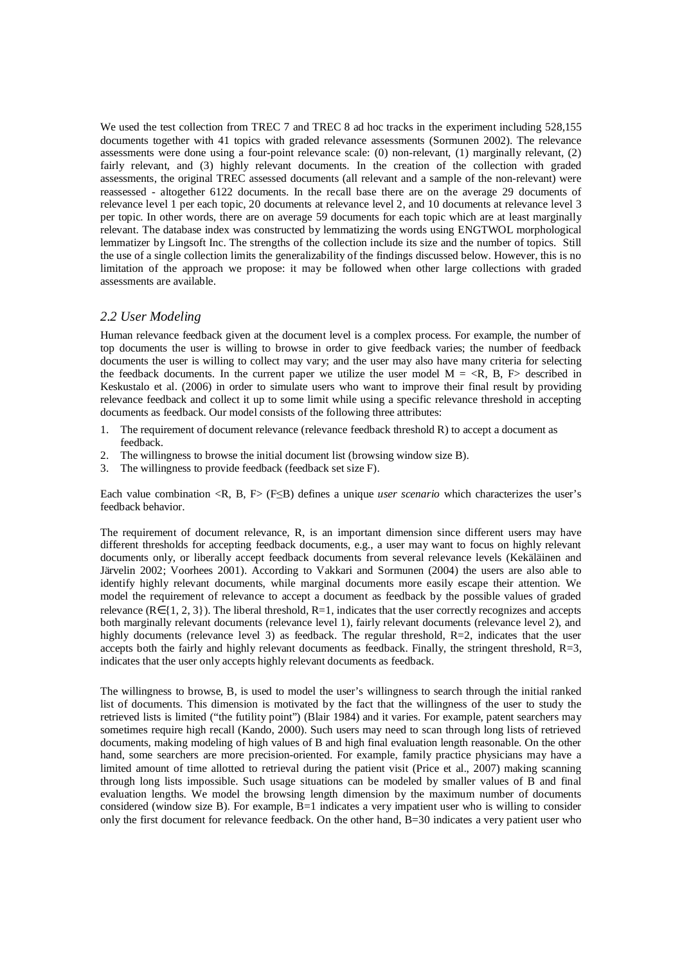We used the test collection from TREC 7 and TREC 8 ad hoc tracks in the experiment including 528,155 documents together with 41 topics with graded relevance assessments (Sormunen 2002). The relevance assessments were done using a four-point relevance scale: (0) non-relevant, (1) marginally relevant, (2) fairly relevant, and (3) highly relevant documents. In the creation of the collection with graded assessments, the original TREC assessed documents (all relevant and a sample of the non-relevant) were reassessed - altogether 6122 documents. In the recall base there are on the average 29 documents of relevance level 1 per each topic, 20 documents at relevance level 2, and 10 documents at relevance level 3 per topic. In other words, there are on average 59 documents for each topic which are at least marginally relevant. The database index was constructed by lemmatizing the words using ENGTWOL morphological lemmatizer by Lingsoft Inc. The strengths of the collection include its size and the number of topics. Still the use of a single collection limits the generalizability of the findings discussed below. However, this is no limitation of the approach we propose: it may be followed when other large collections with graded assessments are available.

## *2.2 User Modeling*

Human relevance feedback given at the document level is a complex process. For example, the number of top documents the user is willing to browse in order to give feedback varies; the number of feedback documents the user is willing to collect may vary; and the user may also have many criteria for selecting the feedback documents. In the current paper we utilize the user model  $M = \langle R, B, F \rangle$  described in Keskustalo et al. (2006) in order to simulate users who want to improve their final result by providing relevance feedback and collect it up to some limit while using a specific relevance threshold in accepting documents as feedback. Our model consists of the following three attributes:

- 1. The requirement of document relevance (relevance feedback threshold R) to accept a document as feedback.
- 2. The willingness to browse the initial document list (browsing window size B).
- 3. The willingness to provide feedback (feedback set size F).

Each value combination  $\langle R, B, F \rangle$  ( $F \leq B$ ) defines a unique *user scenario* which characterizes the user's feedback behavior.

The requirement of document relevance, R, is an important dimension since different users may have different thresholds for accepting feedback documents, e.g., a user may want to focus on highly relevant documents only, or liberally accept feedback documents from several relevance levels (Kekäläinen and Järvelin 2002; Voorhees 2001). According to Vakkari and Sormunen (2004) the users are also able to identify highly relevant documents, while marginal documents more easily escape their attention. We model the requirement of relevance to accept a document as feedback by the possible values of graded relevance (R∈{1, 2, 3}). The liberal threshold, R=1, indicates that the user correctly recognizes and accepts both marginally relevant documents (relevance level 1), fairly relevant documents (relevance level 2), and highly documents (relevance level 3) as feedback. The regular threshold,  $R=2$ , indicates that the user accepts both the fairly and highly relevant documents as feedback. Finally, the stringent threshold,  $R=3$ , indicates that the user only accepts highly relevant documents as feedback.

The willingness to browse, B, is used to model the user's willingness to search through the initial ranked list of documents. This dimension is motivated by the fact that the willingness of the user to study the retrieved lists is limited ("the futility point") (Blair 1984) and it varies. For example, patent searchers may sometimes require high recall (Kando, 2000). Such users may need to scan through long lists of retrieved documents, making modeling of high values of B and high final evaluation length reasonable. On the other hand, some searchers are more precision-oriented. For example, family practice physicians may have a limited amount of time allotted to retrieval during the patient visit (Price et al., 2007) making scanning through long lists impossible. Such usage situations can be modeled by smaller values of B and final evaluation lengths. We model the browsing length dimension by the maximum number of documents considered (window size B). For example,  $\overline{B}=1$  indicates a very impatient user who is willing to consider only the first document for relevance feedback. On the other hand, B=30 indicates a very patient user who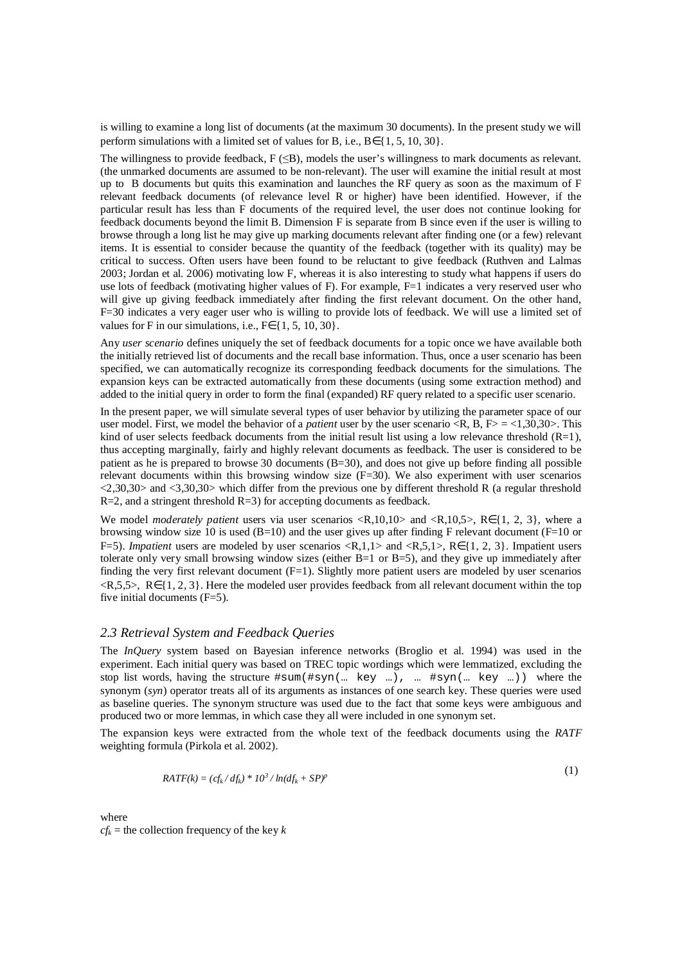is willing to examine a long list of documents (at the maximum 30 documents). In the present study we will perform simulations with a limited set of values for B, i.e.,  $B \in \{1, 5, 10, 30\}$ .

The willingness to provide feedback,  $F(\leq B)$ , models the user's willingness to mark documents as relevant. (the unmarked documents are assumed to be non-relevant). The user will examine the initial result at most up to B documents but quits this examination and launches the RF query as soon as the maximum of F relevant feedback documents (of relevance level R or higher) have been identified. However, if the particular result has less than F documents of the required level, the user does not continue looking for feedback documents beyond the limit B. Dimension F is separate from B since even if the user is willing to browse through a long list he may give up marking documents relevant after finding one (or a few) relevant items. It is essential to consider because the quantity of the feedback (together with its quality) may be critical to success. Often users have been found to be reluctant to give feedback (Ruthven and Lalmas 2003; Jordan et al. 2006) motivating low F, whereas it is also interesting to study what happens if users do use lots of feedback (motivating higher values of F). For example, F=1 indicates a very reserved user who will give up giving feedback immediately after finding the first relevant document. On the other hand, F=30 indicates a very eager user who is willing to provide lots of feedback. We will use a limited set of values for F in our simulations, i.e.,  $F \in \{1, 5, 10, 30\}$ .

Any *user scenario* defines uniquely the set of feedback documents for a topic once we have available both the initially retrieved list of documents and the recall base information. Thus, once a user scenario has been specified, we can automatically recognize its corresponding feedback documents for the simulations. The expansion keys can be extracted automatically from these documents (using some extraction method) and added to the initial query in order to form the final (expanded) RF query related to a specific user scenario.

In the present paper, we will simulate several types of user behavior by utilizing the parameter space of our user model. First, we model the behavior of a *patient* user by the user scenario <R, B, F> = <1,30,30>. This kind of user selects feedback documents from the initial result list using a low relevance threshold  $(R=1)$ . thus accepting marginally, fairly and highly relevant documents as feedback. The user is considered to be patient as he is prepared to browse 30 documents (B=30), and does not give up before finding all possible relevant documents within this browsing window size  $(F=30)$ . We also experiment with user scenarios <2,30,30> and <3,30,30> which differ from the previous one by different threshold R (a regular threshold  $R=2$ , and a stringent threshold  $R=3$ ) for accepting documents as feedback.

We model *moderately patient* users via user scenarios <R,10,10> and <R,10,5>, R∈{1, 2, 3}, where a browsing window size 10 is used (B=10) and the user gives up after finding F relevant document (F=10 or F=5). *Impatient* users are modeled by user scenarios <R,1,1> and <R,5,1>, R∈{1, 2, 3}. Impatient users tolerate only very small browsing window sizes (either  $B=1$  or  $B=5$ ), and they give up immediately after finding the very first relevant document  $(F=1)$ . Slightly more patient users are modeled by user scenarios <R,5,5>, R∈{1, 2, 3}. Here the modeled user provides feedback from all relevant document within the top five initial documents (F=5).

#### *2.3 Retrieval System and Feedback Queries*

The *InQuery* system based on Bayesian inference networks (Broglio et al. 1994) was used in the experiment. Each initial query was based on TREC topic wordings which were lemmatized, excluding the stop list words, having the structure  $\#\text{sum}(\text{#sym}(\text{... key } \text{...}))$ ,  $\text{...} \#\text{sym}(\text{... key } \text{...}))$  where the synonym (*syn*) operator treats all of its arguments as instances of one search key. These queries were used as baseline queries. The synonym structure was used due to the fact that some keys were ambiguous and produced two or more lemmas, in which case they all were included in one synonym set.

The expansion keys were extracted from the whole text of the feedback documents using the *RATF* weighting formula (Pirkola et al. 2002).

$$
RATF(k) = (cf_k/df_k) * 103/ln(df_k + SP)p
$$

 $(1)$ 

where

 $cf_k$  = the collection frequency of the key  $k$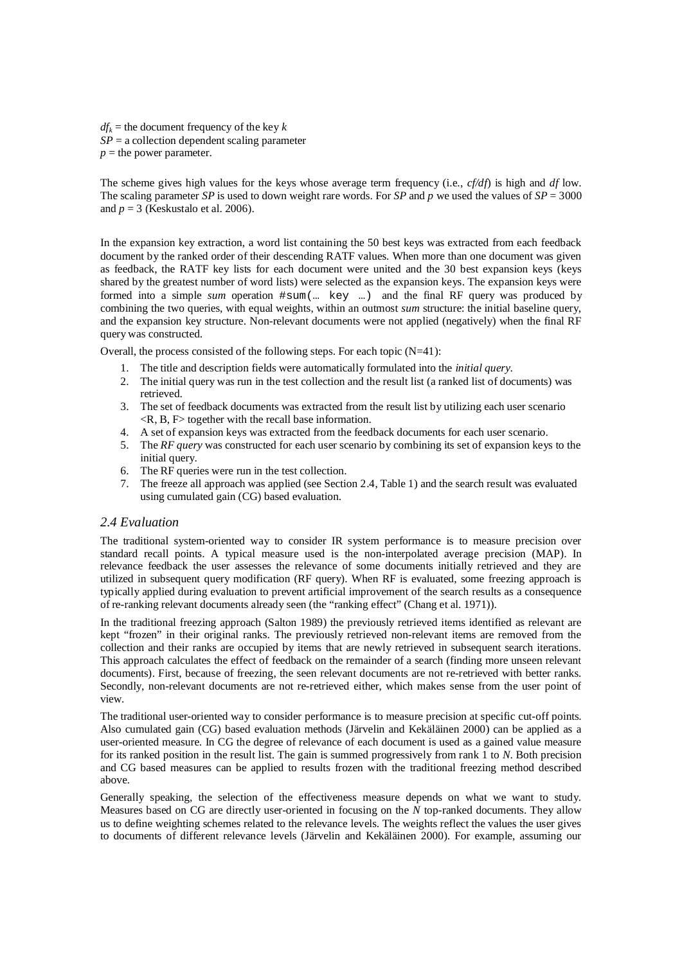$df_k$  = the document frequency of the key  $k$  $SP = a$  collection dependent scaling parameter  $p =$  the power parameter.

The scheme gives high values for the keys whose average term frequency (i.e., *cf/df*) is high and *df* low. The scaling parameter *SP* is used to down weight rare words. For *SP* and *p* we used the values of  $SP = 3000$ and  $p = 3$  (Keskustalo et al. 2006).

In the expansion key extraction, a word list containing the 50 best keys was extracted from each feedback document by the ranked order of their descending RATF values. When more than one document was given as feedback, the RATF key lists for each document were united and the 30 best expansion keys (keys shared by the greatest number of word lists) were selected as the expansion keys. The expansion keys were formed into a simple *sum* operation #sum(… key …) and the final RF query was produced by combining the two queries, with equal weights, within an outmost *sum* structure: the initial baseline query, and the expansion key structure. Non-relevant documents were not applied (negatively) when the final RF query was constructed.

Overall, the process consisted of the following steps. For each topic (N=41):

- 1. The title and description fields were automatically formulated into the *initial query*.
- 2. The initial query was run in the test collection and the result list (a ranked list of documents) was retrieved.
- 3. The set of feedback documents was extracted from the result list by utilizing each user scenario <R, B, F> together with the recall base information.
- 4. A set of expansion keys was extracted from the feedback documents for each user scenario.
- 5. The *RF query* was constructed for each user scenario by combining its set of expansion keys to the initial query.
- 6. The RF queries were run in the test collection.
- 7. The freeze all approach was applied (see Section 2.4, Table 1) and the search result was evaluated using cumulated gain (CG) based evaluation.

## *2.4 Evaluation*

The traditional system-oriented way to consider IR system performance is to measure precision over standard recall points. A typical measure used is the non-interpolated average precision (MAP). In relevance feedback the user assesses the relevance of some documents initially retrieved and they are utilized in subsequent query modification (RF query). When RF is evaluated, some freezing approach is typically applied during evaluation to prevent artificial improvement of the search results as a consequence of re-ranking relevant documents already seen (the "ranking effect" (Chang et al. 1971)).

In the traditional freezing approach (Salton 1989) the previously retrieved items identified as relevant are kept "frozen" in their original ranks. The previously retrieved non-relevant items are removed from the collection and their ranks are occupied by items that are newly retrieved in subsequent search iterations. This approach calculates the effect of feedback on the remainder of a search (finding more unseen relevant documents). First, because of freezing, the seen relevant documents are not re-retrieved with better ranks. Secondly, non-relevant documents are not re-retrieved either, which makes sense from the user point of view.

The traditional user-oriented way to consider performance is to measure precision at specific cut-off points. Also cumulated gain (CG) based evaluation methods (Järvelin and Kekäläinen 2000) can be applied as a user-oriented measure. In CG the degree of relevance of each document is used as a gained value measure for its ranked position in the result list. The gain is summed progressively from rank 1 to *N*. Both precision and CG based measures can be applied to results frozen with the traditional freezing method described above.

Generally speaking, the selection of the effectiveness measure depends on what we want to study. Measures based on CG are directly user-oriented in focusing on the *N* top-ranked documents. They allow us to define weighting schemes related to the relevance levels. The weights reflect the values the user gives to documents of different relevance levels (Järvelin and Kekäläinen 2000). For example, assuming our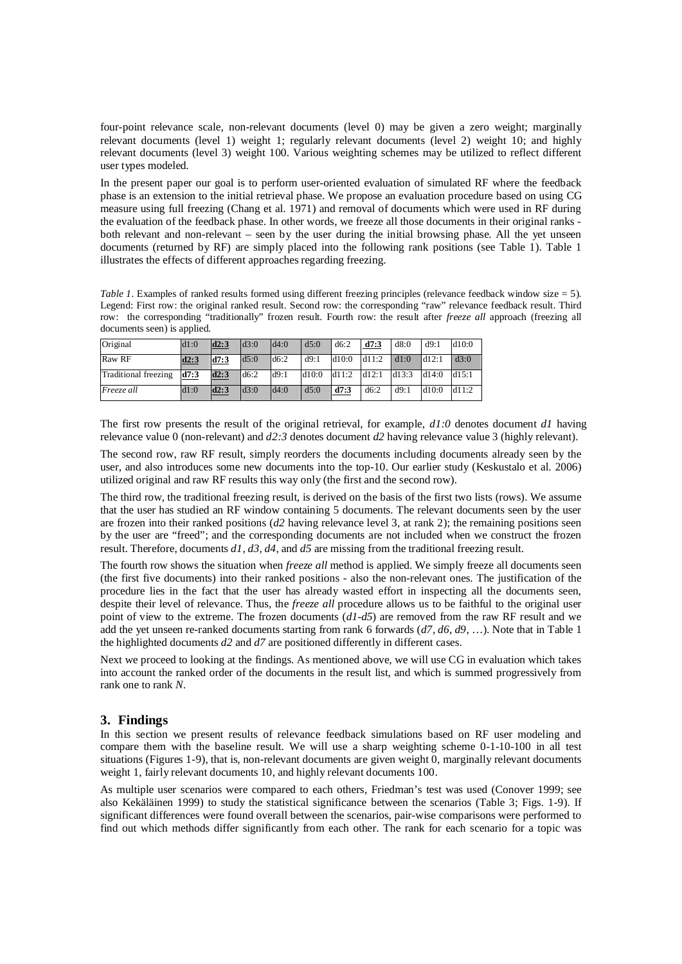four-point relevance scale, non-relevant documents (level 0) may be given a zero weight; marginally relevant documents (level 1) weight 1; regularly relevant documents (level 2) weight 10; and highly relevant documents (level 3) weight 100. Various weighting schemes may be utilized to reflect different user types modeled.

In the present paper our goal is to perform user-oriented evaluation of simulated RF where the feedback phase is an extension to the initial retrieval phase. We propose an evaluation procedure based on using CG measure using full freezing (Chang et al. 1971) and removal of documents which were used in RF during the evaluation of the feedback phase. In other words, we freeze all those documents in their original ranks both relevant and non-relevant – seen by the user during the initial browsing phase. All the yet unseen documents (returned by RF) are simply placed into the following rank positions (see Table 1). Table 1 illustrates the effects of different approaches regarding freezing.

*Table 1.* Examples of ranked results formed using different freezing principles (relevance feedback window size = 5). Legend: First row: the original ranked result. Second row: the corresponding "raw" relevance feedback result. Third row: the corresponding "traditionally" frozen result. Fourth row: the result after *freeze all* approach (freezing all documents seen) is applied.

| Original             | d1:0 | $\text{d}2:3$   | $\text{d}3:0$ | d4:0  | d5:0  | d6:2  | d7:3  | d8:0  | d9:1   | d10:0 |
|----------------------|------|-----------------|---------------|-------|-------|-------|-------|-------|--------|-------|
| Raw RF               | d2:3 | $\mathbf{d7:3}$ | d5:0          | d6:2  | d9:1  | d10:0 | d11:2 | d1:0  | dd12:1 | d3:0  |
| Traditional freezing | d7:3 | d2:3            | d6:2          | d9:1  | d10:0 | d11:2 | d12:1 | d13:3 | d14:0  | d15:1 |
| <i>Freeze all</i>    | ar o | 10.3            | d3.0          | 184.0 | 18.0  | d7:3  | d6:2  | d9:1  | d10:0  | d11:2 |

The first row presents the result of the original retrieval, for example, *d1:0* denotes document *d1* having relevance value 0 (non-relevant) and *d2:3* denotes document *d2* having relevance value 3 (highly relevant).

The second row, raw RF result, simply reorders the documents including documents already seen by the user, and also introduces some new documents into the top-10. Our earlier study (Keskustalo et al. 2006) utilized original and raw RF results this way only (the first and the second row).

The third row, the traditional freezing result, is derived on the basis of the first two lists (rows). We assume that the user has studied an RF window containing 5 documents. The relevant documents seen by the user are frozen into their ranked positions (*d2* having relevance level 3, at rank 2); the remaining positions seen by the user are "freed"; and the corresponding documents are not included when we construct the frozen result. Therefore, documents *d1, d3, d4*, and *d5* are missing from the traditional freezing result.

The fourth row shows the situation when *freeze all* method is applied. We simply freeze all documents seen (the first five documents) into their ranked positions - also the non-relevant ones. The justification of the procedure lies in the fact that the user has already wasted effort in inspecting all the documents seen, despite their level of relevance. Thus, the *freeze all* procedure allows us to be faithful to the original user point of view to the extreme. The frozen documents (*d1-d5*) are removed from the raw RF result and we add the yet unseen re-ranked documents starting from rank 6 forwards (d7, d6, d9, ...). Note that in Table 1 the highlighted documents *d2* and *d7* are positioned differently in different cases.

Next we proceed to looking at the findings. As mentioned above, we will use CG in evaluation which takes into account the ranked order of the documents in the result list, and which is summed progressively from rank one to rank *N*.

#### **3. Findings**

In this section we present results of relevance feedback simulations based on RF user modeling and compare them with the baseline result. We will use a sharp weighting scheme 0-1-10-100 in all test situations (Figures 1-9), that is, non-relevant documents are given weight 0, marginally relevant documents weight 1, fairly relevant documents 10, and highly relevant documents 100.

As multiple user scenarios were compared to each others, Friedman's test was used (Conover 1999; see also Kekäläinen 1999) to study the statistical significance between the scenarios (Table 3; Figs. 1-9). If significant differences were found overall between the scenarios, pair-wise comparisons were performed to find out which methods differ significantly from each other. The rank for each scenario for a topic was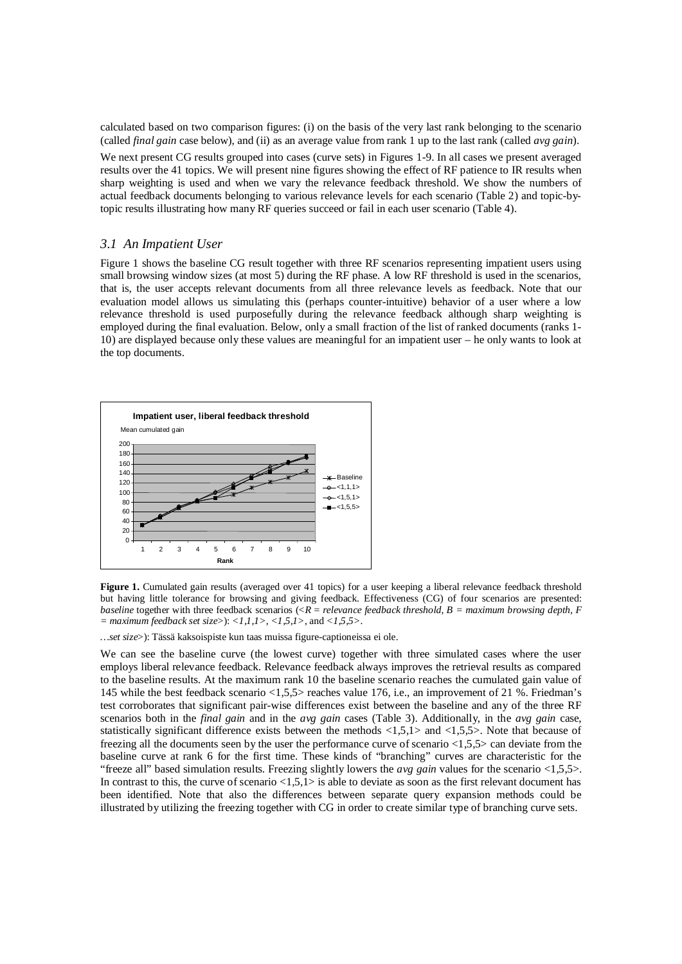calculated based on two comparison figures: (i) on the basis of the very last rank belonging to the scenario (called *final gain* case below), and (ii) as an average value from rank 1 up to the last rank (called *avg gain*).

We next present CG results grouped into cases (curve sets) in Figures 1-9. In all cases we present averaged results over the 41 topics. We will present nine figures showing the effect of RF patience to IR results when sharp weighting is used and when we vary the relevance feedback threshold. We show the numbers of actual feedback documents belonging to various relevance levels for each scenario (Table 2) and topic-bytopic results illustrating how many RF queries succeed or fail in each user scenario (Table 4).

### *3.1 An Impatient User*

Figure 1 shows the baseline CG result together with three RF scenarios representing impatient users using small browsing window sizes (at most 5) during the RF phase. A low RF threshold is used in the scenarios, that is, the user accepts relevant documents from all three relevance levels as feedback. Note that our evaluation model allows us simulating this (perhaps counter-intuitive) behavior of a user where a low relevance threshold is used purposefully during the relevance feedback although sharp weighting is employed during the final evaluation. Below, only a small fraction of the list of ranked documents (ranks 1- 10) are displayed because only these values are meaningful for an impatient user – he only wants to look at the top documents.



Figure 1. Cumulated gain results (averaged over 41 topics) for a user keeping a liberal relevance feedback threshold but having little tolerance for browsing and giving feedback. Effectiveness (CG) of four scenarios are presented: *baseline* together with three feedback scenarios (<*R* = *relevance feedback threshold, B = maximum browsing depth, F = maximum feedback set size*>): *<1,1,1>, <1,5,1>*, and *<1,5,5>*.

*…set size*>): Tässä kaksoispiste kun taas muissa figure-captioneissa ei ole.

We can see the baseline curve (the lowest curve) together with three simulated cases where the user employs liberal relevance feedback. Relevance feedback always improves the retrieval results as compared to the baseline results. At the maximum rank 10 the baseline scenario reaches the cumulated gain value of 145 while the best feedback scenario <1,5,5> reaches value 176, i.e., an improvement of 21 %. Friedman's test corroborates that significant pair-wise differences exist between the baseline and any of the three RF scenarios both in the *final gain* and in the *avg gain* cases (Table 3). Additionally, in the *avg gain* case, statistically significant difference exists between the methods  $\langle 1,5,1\rangle$  and  $\langle 1,5,5\rangle$ . Note that because of freezing all the documents seen by the user the performance curve of scenario <1,5,5> can deviate from the baseline curve at rank 6 for the first time. These kinds of "branching" curves are characteristic for the "freeze all" based simulation results. Freezing slightly lowers the *avg gain* values for the scenario <1,5,5>. In contrast to this, the curve of scenario  $\langle 1,5,1\rangle$  is able to deviate as soon as the first relevant document has been identified. Note that also the differences between separate query expansion methods could be illustrated by utilizing the freezing together with CG in order to create similar type of branching curve sets.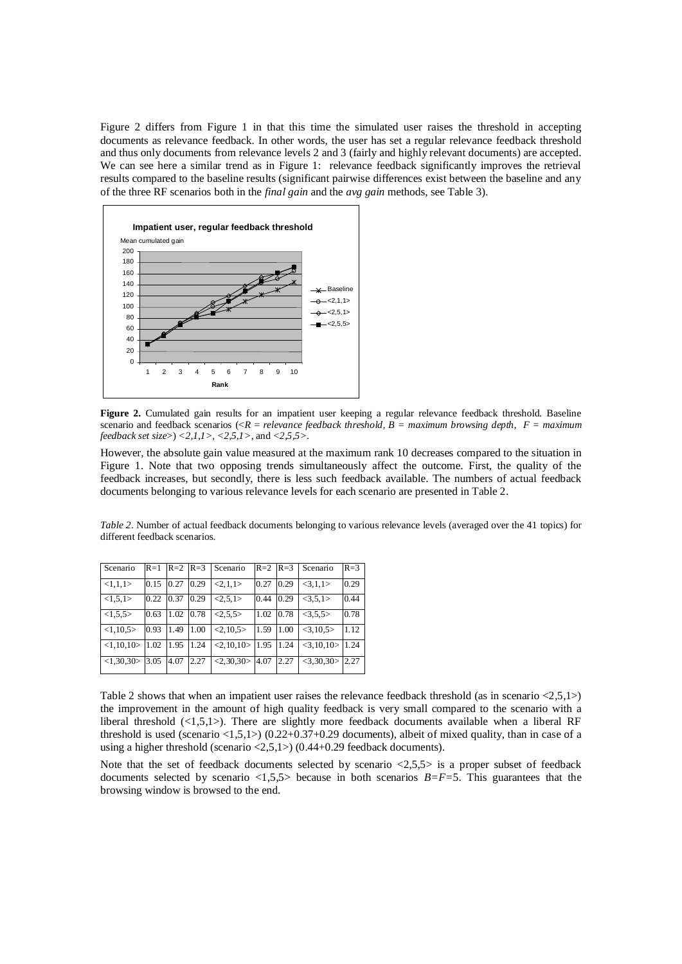Figure 2 differs from Figure 1 in that this time the simulated user raises the threshold in accepting documents as relevance feedback. In other words, the user has set a regular relevance feedback threshold and thus only documents from relevance levels 2 and 3 (fairly and highly relevant documents) are accepted. We can see here a similar trend as in Figure 1: relevance feedback significantly improves the retrieval results compared to the baseline results (significant pairwise differences exist between the baseline and any of the three RF scenarios both in the *final gain* and the *avg gain* methods, see Table 3).



**Figure 2.** Cumulated gain results for an impatient user keeping a regular relevance feedback threshold. Baseline scenario and feedback scenarios (<*R* = *relevance feedback threshold, B = maximum browsing depth, F = maximum feedback set size*>) *<2,1,1>, <2,5,1>*, and *<2,5,5>*.

However, the absolute gain value measured at the maximum rank 10 decreases compared to the situation in Figure 1. Note that two opposing trends simultaneously affect the outcome. First, the quality of the feedback increases, but secondly, there is less such feedback available. The numbers of actual feedback documents belonging to various relevance levels for each scenario are presented in Table 2.

*Table 2.* Number of actual feedback documents belonging to various relevance levels (averaged over the 41 topics) for different feedback scenarios.

| Scenario       | $R=1$ | $R=2$ $R=3$ |      | Scenario                             | $R=2$ $R=3$ |      | Scenario             | $R = 3$ |
|----------------|-------|-------------|------|--------------------------------------|-------------|------|----------------------|---------|
| <1,1,1>        | 0.15  | 0.27        | 0.29 | <2.1.1>                              | 0.27        | 0.29 | <3.1.1>              | 0.29    |
| <1.5,1>        | 0.22  | 0.37        | 0.29 | <2,5,1>                              | 0.44        | 0.29 | <3.5,1>              | 0.44    |
| <1.5.5>        | 0.63  | 1.02 0.78   |      | <2,5,5>                              | 1.02        | 0.78 | <3.5.5>              | 0.78    |
| <1.10.5>       | 0.93  | 1.49        | 1.00 | <2,10,5>                             | 1.59        | 1.00 | <3,10,5>             | 1.12    |
| <1.10.10>11.02 |       | 1.95        | 1.24 | $<2,10,10>$ 1.95                     |             | 1.24 | $<$ 3,10,10 $>$ 1.24 |         |
| <1.30.30>      | 3.05  | 4.07        | 2.27 | $\overline{\langle 2,30,30 \rangle}$ | 4.07        | 2.27 | $<3,30,30>$ 2.27     |         |

Table 2 shows that when an impatient user raises the relevance feedback threshold (as in scenario  $\langle 2,5,1 \rangle$ ) the improvement in the amount of high quality feedback is very small compared to the scenario with a liberal threshold  $(\langle 1,5,1 \rangle)$ . There are slightly more feedback documents available when a liberal RF threshold is used (scenario  $\langle 1,5,1 \rangle$ ) (0.22+0.37+0.29 documents), albeit of mixed quality, than in case of a using a higher threshold (scenario <2,5,1>) (0.44+0.29 feedback documents).

Note that the set of feedback documents selected by scenario  $\langle 2.5.5 \rangle$  is a proper subset of feedback documents selected by scenario <1,5,5> because in both scenarios *B=F=*5. This guarantees that the browsing window is browsed to the end.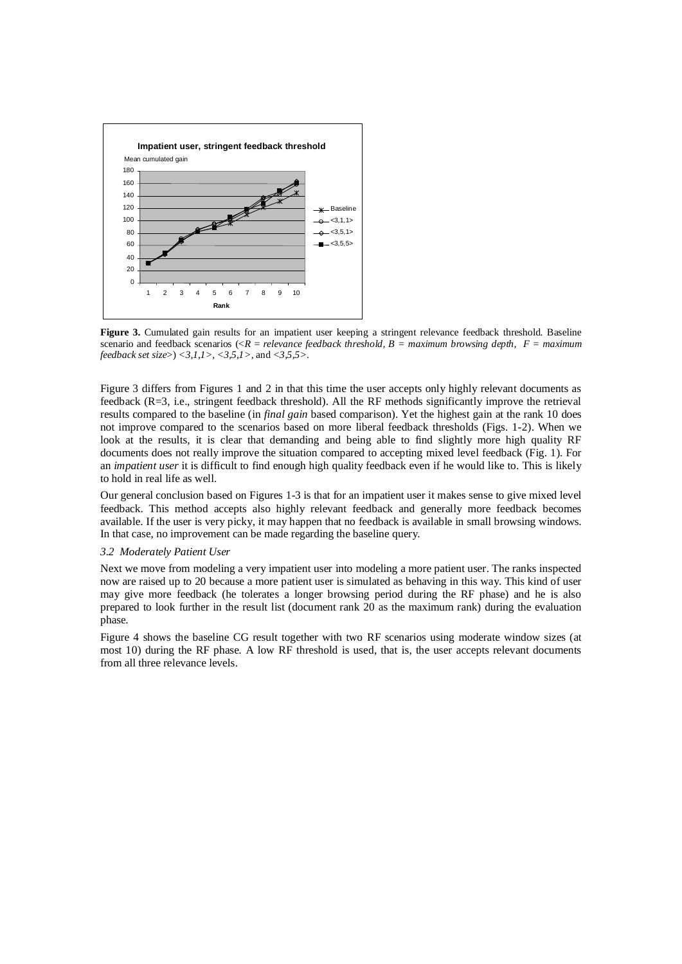

**Figure 3.** Cumulated gain results for an impatient user keeping a stringent relevance feedback threshold. Baseline scenario and feedback scenarios (<*R* = *relevance feedback threshold, B = maximum browsing depth, F = maximum feedback set size*>) *<3,1,1>, <3,5,1>*, and *<3,5,5>*.

Figure 3 differs from Figures 1 and 2 in that this time the user accepts only highly relevant documents as feedback (R=3, i.e., stringent feedback threshold). All the RF methods significantly improve the retrieval results compared to the baseline (in *final gain* based comparison). Yet the highest gain at the rank 10 does not improve compared to the scenarios based on more liberal feedback thresholds (Figs. 1-2). When we look at the results, it is clear that demanding and being able to find slightly more high quality RF documents does not really improve the situation compared to accepting mixed level feedback (Fig. 1). For an *impatient user* it is difficult to find enough high quality feedback even if he would like to. This is likely to hold in real life as well.

Our general conclusion based on Figures 1-3 is that for an impatient user it makes sense to give mixed level feedback. This method accepts also highly relevant feedback and generally more feedback becomes available. If the user is very picky, it may happen that no feedback is available in small browsing windows. In that case, no improvement can be made regarding the baseline query.

#### *3.2 Moderately Patient User*

Next we move from modeling a very impatient user into modeling a more patient user. The ranks inspected now are raised up to 20 because a more patient user is simulated as behaving in this way. This kind of user may give more feedback (he tolerates a longer browsing period during the RF phase) and he is also prepared to look further in the result list (document rank 20 as the maximum rank) during the evaluation phase.

Figure 4 shows the baseline CG result together with two RF scenarios using moderate window sizes (at most 10) during the RF phase. A low RF threshold is used, that is, the user accepts relevant documents from all three relevance levels.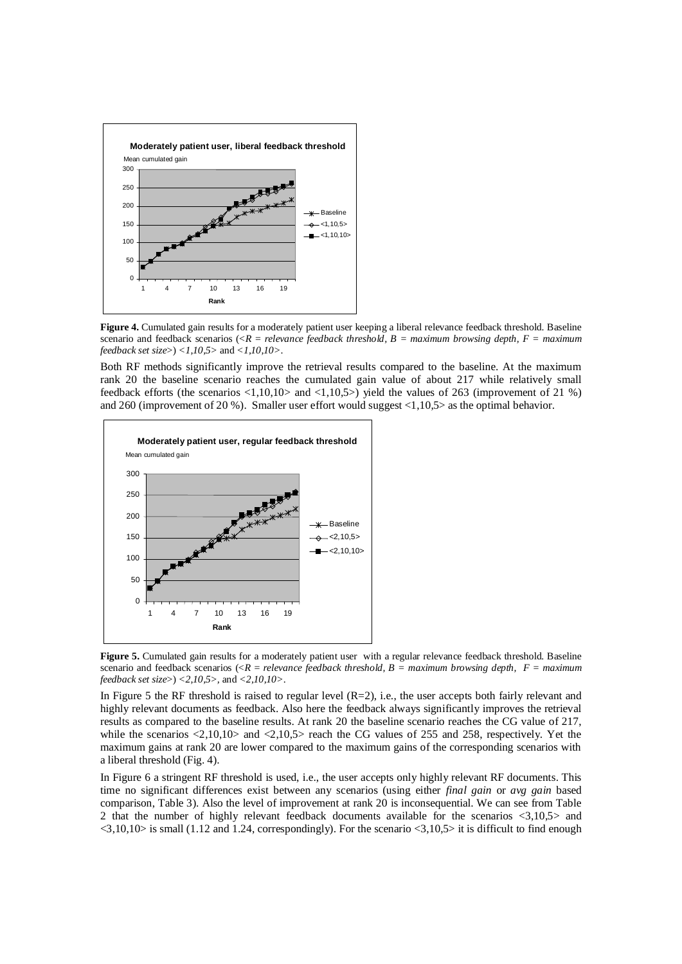

**Figure 4.** Cumulated gain results for a moderately patient user keeping a liberal relevance feedback threshold. Baseline scenario and feedback scenarios ( $\langle R =$  *relevance feedback threshold, B = maximum browsing depth, F = maximum feedback set size*>) *<1,10,5>* and *<1,10,10>*.

Both RF methods significantly improve the retrieval results compared to the baseline. At the maximum rank 20 the baseline scenario reaches the cumulated gain value of about 217 while relatively small feedback efforts (the scenarios <1,10,10> and <1,10,5>) yield the values of 263 (improvement of 21 %) and 260 (improvement of 20 %). Smaller user effort would suggest  $\langle 1,10,5 \rangle$  as the optimal behavior.



**Figure 5.** Cumulated gain results for a moderately patient user with a regular relevance feedback threshold. Baseline scenario and feedback scenarios (<*R* = *relevance feedback threshold, B = maximum browsing depth, F = maximum feedback set size*>) *<2,10,5>,* and *<2,10,10>*.

In Figure 5 the RF threshold is raised to regular level (R=2), i.e., the user accepts both fairly relevant and highly relevant documents as feedback. Also here the feedback always significantly improves the retrieval results as compared to the baseline results. At rank 20 the baseline scenario reaches the CG value of 217, while the scenarios  $\langle 2,10,10 \rangle$  and  $\langle 2,10,5 \rangle$  reach the CG values of 255 and 258, respectively. Yet the maximum gains at rank 20 are lower compared to the maximum gains of the corresponding scenarios with a liberal threshold (Fig. 4).

In Figure 6 a stringent RF threshold is used, i.e., the user accepts only highly relevant RF documents. This time no significant differences exist between any scenarios (using either *final gain* or *avg gain* based comparison, Table 3). Also the level of improvement at rank 20 is inconsequential. We can see from Table 2 that the number of highly relevant feedback documents available for the scenarios <3,10,5> and  $\langle 3,10,10 \rangle$  is small (1.12 and 1.24, correspondingly). For the scenario  $\langle 3,10,5 \rangle$  it is difficult to find enough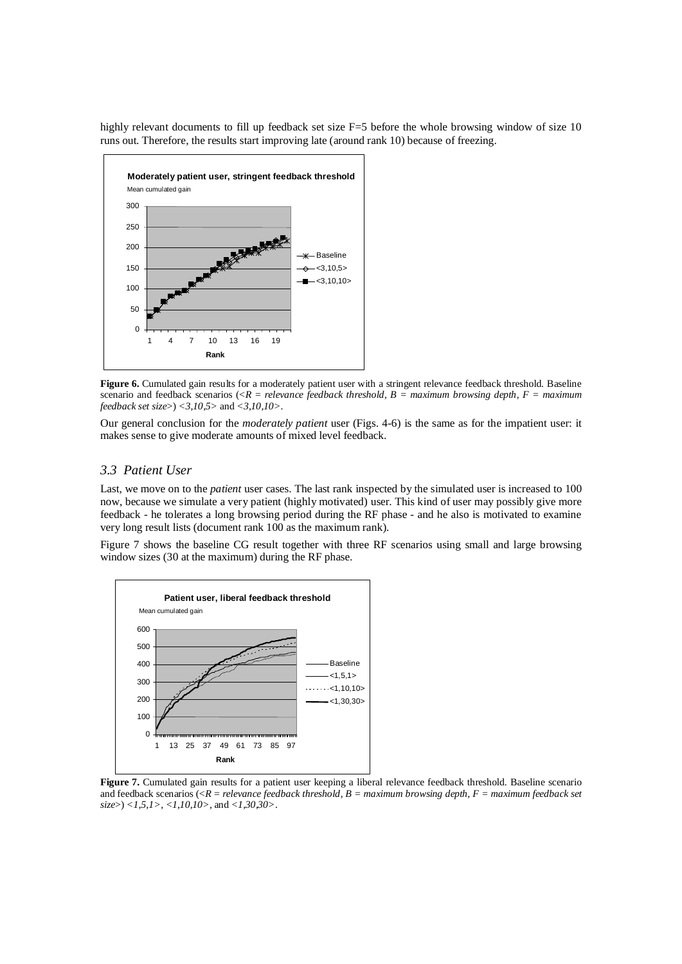highly relevant documents to fill up feedback set size F=5 before the whole browsing window of size 10 runs out. Therefore, the results start improving late (around rank 10) because of freezing.



**Figure 6.** Cumulated gain results for a moderately patient user with a stringent relevance feedback threshold. Baseline scenario and feedback scenarios (<*R* = *relevance feedback threshold, B = maximum browsing depth, F = maximum feedback set size*>) *<3,10,5>* and *<3,10,10>*.

Our general conclusion for the *moderately patient* user (Figs. 4-6) is the same as for the impatient user: it makes sense to give moderate amounts of mixed level feedback.

## *3.3 Patient User*

Last, we move on to the *patient* user cases. The last rank inspected by the simulated user is increased to 100 now, because we simulate a very patient (highly motivated) user. This kind of user may possibly give more feedback - he tolerates a long browsing period during the RF phase - and he also is motivated to examine very long result lists (document rank 100 as the maximum rank).

Figure 7 shows the baseline CG result together with three RF scenarios using small and large browsing window sizes (30 at the maximum) during the RF phase.



**Figure 7.** Cumulated gain results for a patient user keeping a liberal relevance feedback threshold. Baseline scenario and feedback scenarios (<*R* = *relevance feedback threshold, B = maximum browsing depth, F = maximum feedback set size*>) *<1,5,1>, <1,10,10>,* and *<1,30,30>*.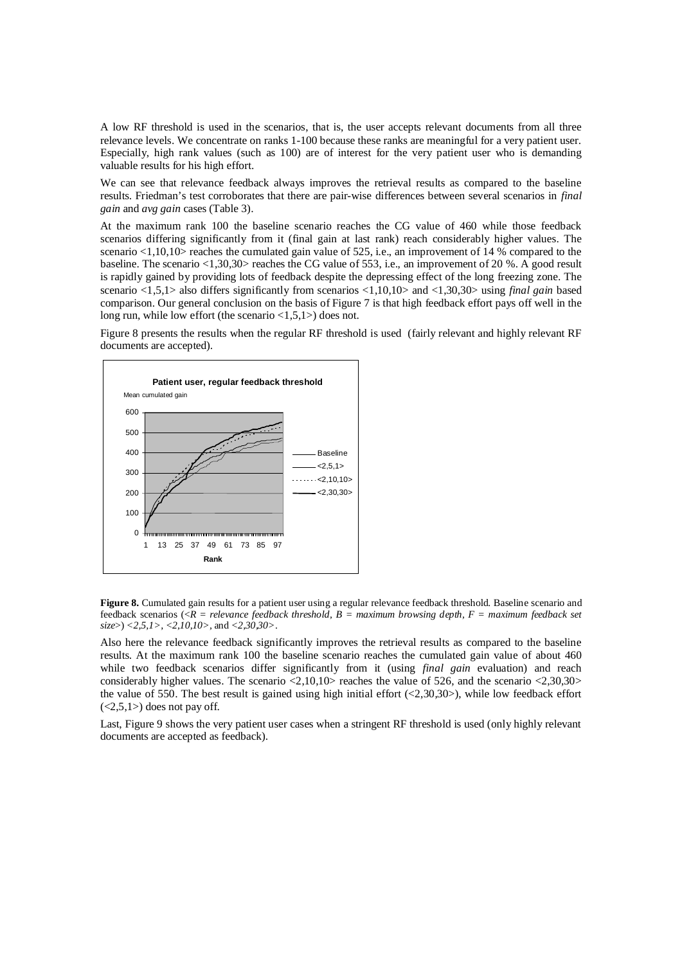A low RF threshold is used in the scenarios, that is, the user accepts relevant documents from all three relevance levels. We concentrate on ranks 1-100 because these ranks are meaningful for a very patient user. Especially, high rank values (such as 100) are of interest for the very patient user who is demanding valuable results for his high effort.

We can see that relevance feedback always improves the retrieval results as compared to the baseline results. Friedman's test corroborates that there are pair-wise differences between several scenarios in *final gain* and *avg gain* cases (Table 3).

At the maximum rank 100 the baseline scenario reaches the CG value of 460 while those feedback scenarios differing significantly from it (final gain at last rank) reach considerably higher values. The scenario <1,10,10> reaches the cumulated gain value of 525, i.e., an improvement of 14 % compared to the baseline. The scenario <1,30,30> reaches the CG value of 553, i.e., an improvement of 20 %. A good result is rapidly gained by providing lots of feedback despite the depressing effect of the long freezing zone. The scenario <1,5,1> also differs significantly from scenarios <1,10,10> and <1,30,30> using *final gain* based comparison. Our general conclusion on the basis of Figure 7 is that high feedback effort pays off well in the long run, while low effort (the scenario <1,5,1>) does not.

Figure 8 presents the results when the regular RF threshold is used (fairly relevant and highly relevant RF documents are accepted).



**Figure 8.** Cumulated gain results for a patient user using a regular relevance feedback threshold. Baseline scenario and feedback scenarios (<*R* = *relevance feedback threshold, B = maximum browsing depth, F = maximum feedback set size*>) *<2,5,1>, <2,10,10>,* and *<2,30,30>*.

Also here the relevance feedback significantly improves the retrieval results as compared to the baseline results. At the maximum rank 100 the baseline scenario reaches the cumulated gain value of about 460 while two feedback scenarios differ significantly from it (using *final gain* evaluation) and reach considerably higher values. The scenario <2,10,10> reaches the value of 526, and the scenario <2,30,30> the value of 550. The best result is gained using high initial effort  $(\langle 2,30,30 \rangle)$ , while low feedback effort  $(\leq2,5,1)$  does not pay off.

Last, Figure 9 shows the very patient user cases when a stringent RF threshold is used (only highly relevant documents are accepted as feedback).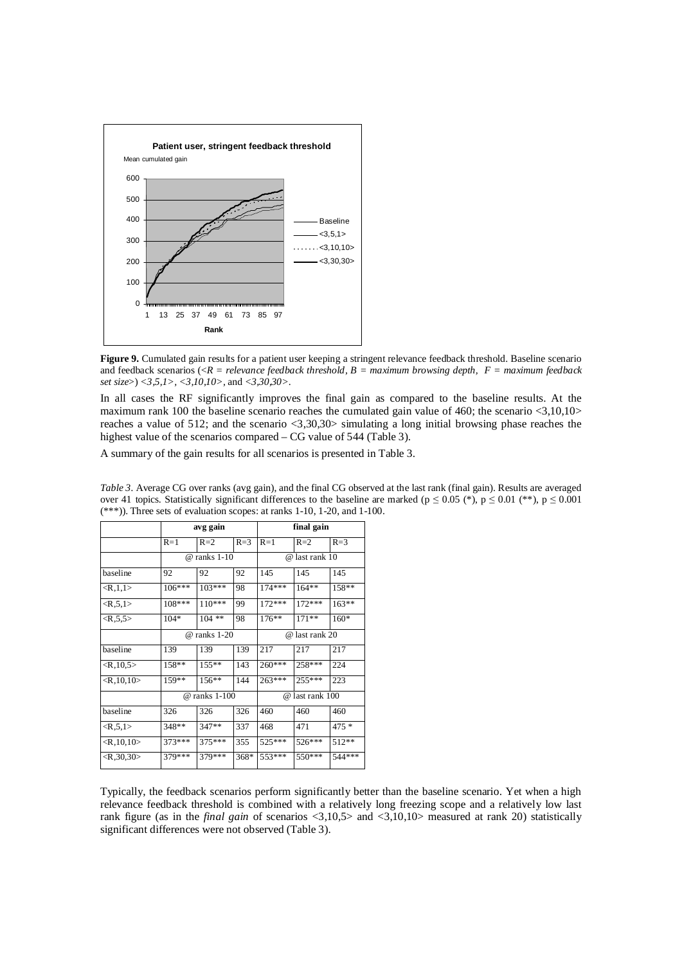

**Figure 9.** Cumulated gain results for a patient user keeping a stringent relevance feedback threshold. Baseline scenario and feedback scenarios (<*R* = *relevance feedback threshold, B = maximum browsing depth, F = maximum feedback set size*>) *<3,5,1>, <3,10,10>,* and *<3,30,30>*.

In all cases the RF significantly improves the final gain as compared to the baseline results. At the maximum rank 100 the baseline scenario reaches the cumulated gain value of 460; the scenario  $\langle 3.10, 10 \rangle$ reaches a value of 512; and the scenario <3,30,30> simulating a long initial browsing phase reaches the highest value of the scenarios compared – CG value of 544 (Table 3).

A summary of the gain results for all scenarios is presented in Table 3.

|                             |        | avg gain       |         | final gain      |          |         |  |
|-----------------------------|--------|----------------|---------|-----------------|----------|---------|--|
|                             | $R=1$  | $R=2$          | $R = 3$ | $R=1$           | $R=2$    | $R=3$   |  |
|                             |        | $@$ ranks 1-10 |         | @ last rank 10  |          |         |  |
| baseline                    | 92     | 92             | 92      | 145             | 145      | 145     |  |
| <r, 1="" 1,=""></r,>        | 106*** | 103***         | 98      | $174***$        | $164**$  | $158**$ |  |
| $\langle R, 5, 1 \rangle$   | 108*** | 110***         | 99      | $172***$        | $172***$ | $163**$ |  |
| $\langle R, 5, 5 \rangle$   | $104*$ | $104$ **       | 98      | $176***$        | $171**$  | $160*$  |  |
|                             |        | @ ranks 1-20   |         | @ last rank 20  |          |         |  |
| baseline                    | 139    | 139            | 139     | 217             | 217      | 217     |  |
| $\langle R, 10, 5 \rangle$  | 158**  | $155**$        | 143     | 260***          | 258***   | 224     |  |
| $\langle R, 10, 10 \rangle$ | 159**  | $156**$        | 144     | 263***          | $255***$ | 223     |  |
|                             |        | @ ranks 1-100  |         | @ last rank 100 |          |         |  |
| baseline                    | 326    | 326            | 326     | 460             | 460      | 460     |  |
| $<\ R, 5, 1>$               | 348**  | $347**$        | 337     | 468             | 471      | $475*$  |  |
| $\langle R, 10, 10 \rangle$ | 373*** | 375***         | 355     | 525***          | 526***   | 512**   |  |
| $\langle R, 30, 30 \rangle$ | 379*** | 379***         | 368*    | 553***          | 550***   | 544***  |  |

*Table 3.* Average CG over ranks (avg gain), and the final CG observed at the last rank (final gain). Results are averaged over 41 topics. Statistically significant differences to the baseline are marked ( $p \le 0.05$  (\*),  $p \le 0.01$  (\*\*),  $p \le 0.001$ (\*\*\*)). Three sets of evaluation scopes: at ranks 1-10, 1-20, and 1-100.

Typically, the feedback scenarios perform significantly better than the baseline scenario. Yet when a high relevance feedback threshold is combined with a relatively long freezing scope and a relatively low last rank figure (as in the *final gain* of scenarios <3,10,5> and <3,10,10> measured at rank 20) statistically significant differences were not observed (Table 3).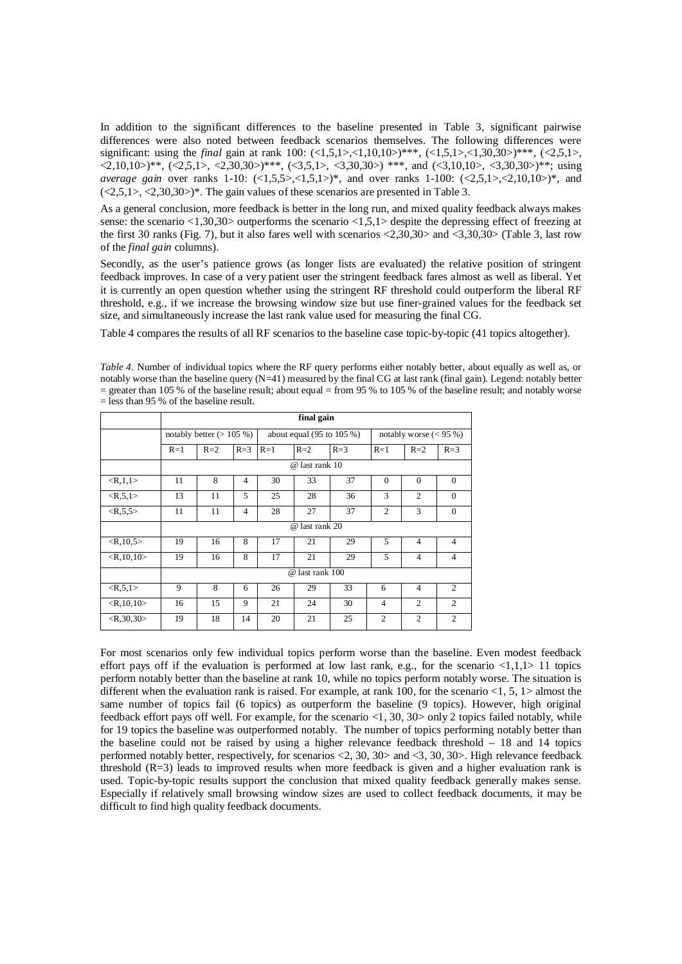In addition to the significant differences to the baseline presented in Table 3, significant pairwise differences were also noted between feedback scenarios themselves. The following differences were significant: using the *final* gain at rank 100: (<1,5,1>,<1,10,10>)\*\*\*, (<1,5,1>,<1,30,30>)\*\*\*, (<2,5,1>,  $\langle 2,10,10 \rangle$ \*\*,  $(\langle 2,5,1 \rangle, \langle 2,30,30 \rangle)$ \*\*\*,  $(\langle 3,5,1 \rangle, \langle 3,30,30 \rangle)$ \*\*, and  $(\langle 3,10,10 \rangle, \langle 3,30,30 \rangle)$ \*\*; using *average gain* over ranks 1-10:  $\langle 1,5,5 \rangle, \langle 1,5,1 \rangle$ , and over ranks 1-100:  $\langle 2,5,1 \rangle, \langle 2,10,10 \rangle$ , and  $(\langle 2,5,1 \rangle, \langle 2,30,30 \rangle)^*$ . The gain values of these scenarios are presented in Table 3.

As a general conclusion, more feedback is better in the long run, and mixed quality feedback always makes sense: the scenario  $\langle 1,30,30 \rangle$  outperforms the scenario  $\langle 1,5,1 \rangle$  despite the depressing effect of freezing at the first 30 ranks (Fig. 7), but it also fares well with scenarios <2,30,30> and <3,30,30> (Table 3, last row of the *final gain* columns).

Secondly, as the user's patience grows (as longer lists are evaluated) the relative position of stringent feedback improves. In case of a very patient user the stringent feedback fares almost as well as liberal. Yet it is currently an open question whether using the stringent RF threshold could outperform the liberal RF threshold, e.g., if we increase the browsing window size but use finer-grained values for the feedback set size, and simultaneously increase the last rank value used for measuring the final CG.

Table 4 compares the results of all RF scenarios to the baseline case topic-by-topic (41 topics altogether).

*Table 4.* Number of individual topics where the RF query performs either notably better, about equally as well as, or notably worse than the baseline query  $(N=41)$  measured by the final CG at last rank (final gain). Legend: notably better  $=$  greater than 105 % of the baseline result; about equal  $=$  from 95 % to 105 % of the baseline result; and notably worse = less than 95 % of the baseline result.

|                             | final gain      |                           |                |       |                                       |         |                |                           |                |  |  |
|-----------------------------|-----------------|---------------------------|----------------|-------|---------------------------------------|---------|----------------|---------------------------|----------------|--|--|
|                             |                 | notably better $(>105\%)$ |                |       | about equal $(95 \text{ to } 105 \%)$ |         |                | notably worse $(< 95\%$ ) |                |  |  |
|                             | $R=1$           | $R=2$                     | $R=3$          | $R=1$ | $R=2$                                 | $R = 3$ | $R=1$          | $R=2$                     | $R = 3$        |  |  |
|                             | @ last rank 10  |                           |                |       |                                       |         |                |                           |                |  |  |
| $<$ R,1,1>                  | 11              | 8                         | $\overline{4}$ | 30    | 33                                    | 37      | $\mathbf{0}$   | $\mathbf{0}$              | $\mathbf{0}$   |  |  |
| $<$ R,5,1>                  | 13              | 11                        | 5              | 25    | 28                                    | 36      | 3              | $\overline{c}$            | $\Omega$       |  |  |
| $<\,R, 5, 5>$               | 11              | 11                        | $\overline{4}$ | 28    | 27                                    | 37      | $\overline{2}$ | 3                         | $\Omega$       |  |  |
|                             | @ last rank 20  |                           |                |       |                                       |         |                |                           |                |  |  |
| $\langle R, 10, 5 \rangle$  | 19              | 16                        | 8              | 17    | 21                                    | 29      | 5              | $\overline{4}$            | $\overline{4}$ |  |  |
| $\langle R, 10, 10 \rangle$ | 19              | 16                        | 8              | 17    | 21                                    | 29      | 5              | $\overline{4}$            | $\overline{4}$ |  |  |
|                             | @ last rank 100 |                           |                |       |                                       |         |                |                           |                |  |  |
| $<\,R.5,1\,>$               | 9               | 8                         | 6              | 26    | 29                                    | 33      | 6              | $\overline{4}$            | $\overline{c}$ |  |  |
| $\langle R, 10, 10 \rangle$ | 16              | 15                        | 9              | 21    | 24                                    | 30      | $\overline{4}$ | $\overline{c}$            | $\overline{c}$ |  |  |
| $\langle R.30, 30 \rangle$  | 19              | 18                        | 14             | 20    | 21                                    | 25      | $\overline{2}$ | $\overline{c}$            | $\overline{c}$ |  |  |

For most scenarios only few individual topics perform worse than the baseline. Even modest feedback effort pays off if the evaluation is performed at low last rank, e.g., for the scenario  $\langle 1,1,1 \rangle$  11 topics perform notably better than the baseline at rank 10, while no topics perform notably worse. The situation is different when the evaluation rank is raised. For example, at rank 100, for the scenario  $\langle 1, 5, 1 \rangle$  almost the same number of topics fail (6 topics) as outperform the baseline (9 topics). However, high original feedback effort pays off well. For example, for the scenario <1, 30, 30> only 2 topics failed notably, while for 19 topics the baseline was outperformed notably. The number of topics performing notably better than the baseline could not be raised by using a higher relevance feedback threshold – 18 and 14 topics performed notably better, respectively, for scenarios <2, 30, 30> and <3, 30, 30>. High relevance feedback threshold (R=3) leads to improved results when more feedback is given and a higher evaluation rank is used. Topic-by-topic results support the conclusion that mixed quality feedback generally makes sense. Especially if relatively small browsing window sizes are used to collect feedback documents, it may be difficult to find high quality feedback documents.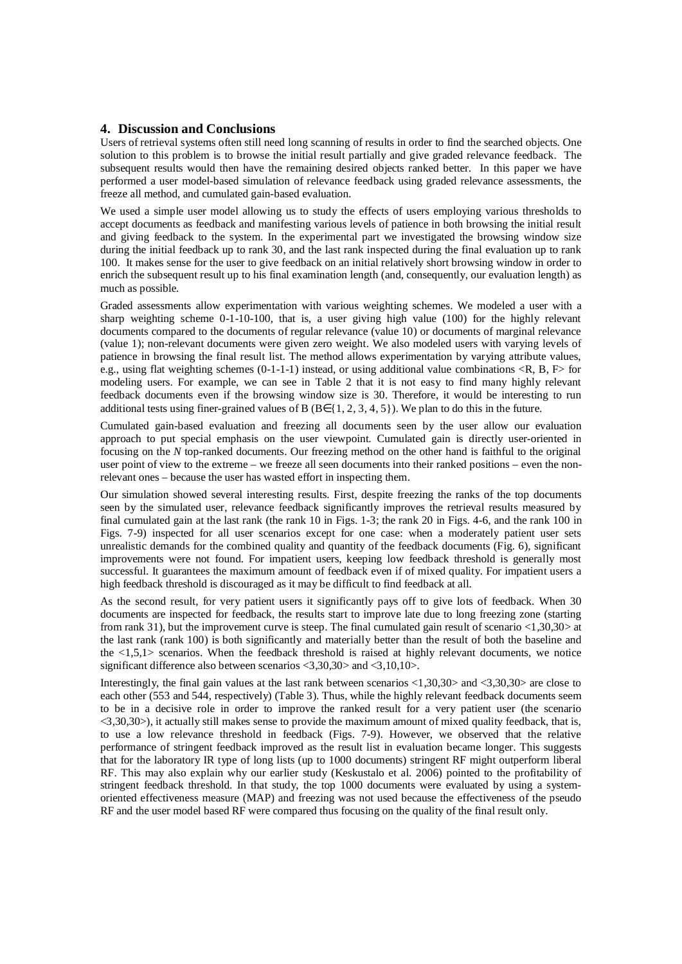#### **4. Discussion and Conclusions**

Users of retrieval systems often still need long scanning of results in order to find the searched objects. One solution to this problem is to browse the initial result partially and give graded relevance feedback. The subsequent results would then have the remaining desired objects ranked better. In this paper we have performed a user model-based simulation of relevance feedback using graded relevance assessments, the freeze all method, and cumulated gain-based evaluation.

We used a simple user model allowing us to study the effects of users employing various thresholds to accept documents as feedback and manifesting various levels of patience in both browsing the initial result and giving feedback to the system. In the experimental part we investigated the browsing window size during the initial feedback up to rank 30, and the last rank inspected during the final evaluation up to rank 100. It makes sense for the user to give feedback on an initial relatively short browsing window in order to enrich the subsequent result up to his final examination length (and, consequently, our evaluation length) as much as possible.

Graded assessments allow experimentation with various weighting schemes. We modeled a user with a sharp weighting scheme 0-1-10-100, that is, a user giving high value (100) for the highly relevant documents compared to the documents of regular relevance (value 10) or documents of marginal relevance (value 1); non-relevant documents were given zero weight. We also modeled users with varying levels of patience in browsing the final result list. The method allows experimentation by varying attribute values, e.g., using flat weighting schemes  $(0-1-1-1)$  instead, or using additional value combinations  $\langle R, B, F \rangle$  for modeling users. For example, we can see in Table 2 that it is not easy to find many highly relevant feedback documents even if the browsing window size is 30. Therefore, it would be interesting to run additional tests using finer-grained values of B ( $B \in \{1, 2, 3, 4, 5\}$ ). We plan to do this in the future.

Cumulated gain-based evaluation and freezing all documents seen by the user allow our evaluation approach to put special emphasis on the user viewpoint. Cumulated gain is directly user-oriented in focusing on the *N* top-ranked documents. Our freezing method on the other hand is faithful to the original user point of view to the extreme – we freeze all seen documents into their ranked positions – even the nonrelevant ones – because the user has wasted effort in inspecting them.

Our simulation showed several interesting results. First, despite freezing the ranks of the top documents seen by the simulated user, relevance feedback significantly improves the retrieval results measured by final cumulated gain at the last rank (the rank 10 in Figs. 1-3; the rank 20 in Figs. 4-6, and the rank 100 in Figs. 7-9) inspected for all user scenarios except for one case: when a moderately patient user sets unrealistic demands for the combined quality and quantity of the feedback documents (Fig. 6), significant improvements were not found. For impatient users, keeping low feedback threshold is generally most successful. It guarantees the maximum amount of feedback even if of mixed quality. For impatient users a high feedback threshold is discouraged as it may be difficult to find feedback at all.

As the second result, for very patient users it significantly pays off to give lots of feedback. When 30 documents are inspected for feedback, the results start to improve late due to long freezing zone (starting from rank 31), but the improvement curve is steep. The final cumulated gain result of scenario <1,30,30> at the last rank (rank 100) is both significantly and materially better than the result of both the baseline and the  $\langle 1,5,1 \rangle$  scenarios. When the feedback threshold is raised at highly relevant documents, we notice significant difference also between scenarios <3,30,30> and <3,10,10>.

Interestingly, the final gain values at the last rank between scenarios <1,30,30> and <3,30,30> are close to each other (553 and 544, respectively) (Table 3). Thus, while the highly relevant feedback documents seem to be in a decisive role in order to improve the ranked result for a very patient user (the scenario  $\langle 3,30,30 \rangle$ , it actually still makes sense to provide the maximum amount of mixed quality feedback, that is, to use a low relevance threshold in feedback (Figs. 7-9). However, we observed that the relative performance of stringent feedback improved as the result list in evaluation became longer. This suggests that for the laboratory IR type of long lists (up to 1000 documents) stringent RF might outperform liberal RF. This may also explain why our earlier study (Keskustalo et al. 2006) pointed to the profitability of stringent feedback threshold. In that study, the top 1000 documents were evaluated by using a systemoriented effectiveness measure (MAP) and freezing was not used because the effectiveness of the pseudo RF and the user model based RF were compared thus focusing on the quality of the final result only.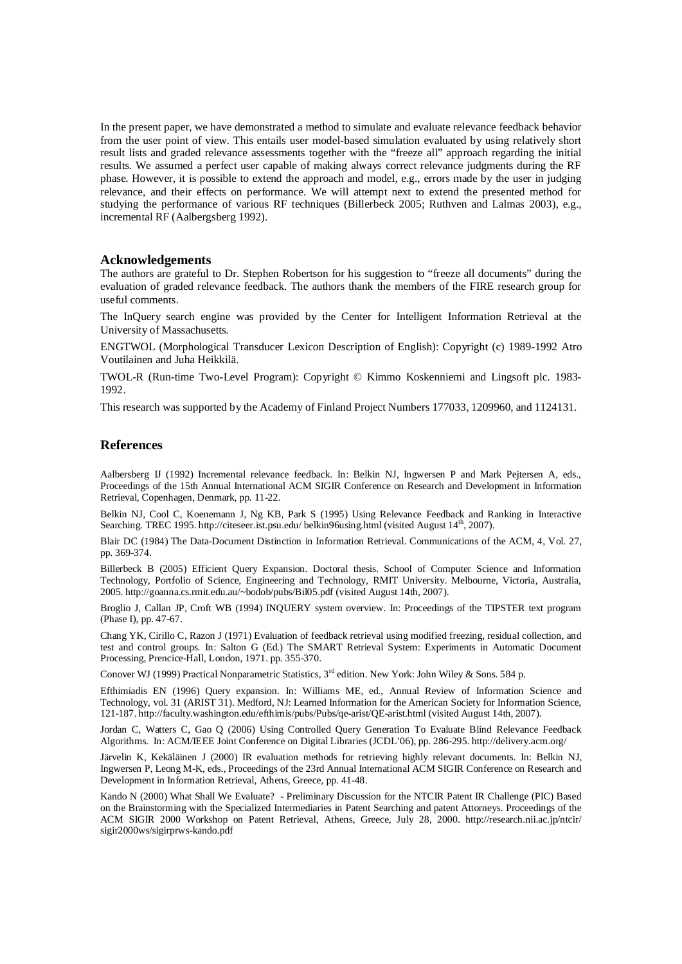In the present paper, we have demonstrated a method to simulate and evaluate relevance feedback behavior from the user point of view. This entails user model-based simulation evaluated by using relatively short result lists and graded relevance assessments together with the "freeze all" approach regarding the initial results. We assumed a perfect user capable of making always correct relevance judgments during the RF phase. However, it is possible to extend the approach and model, e.g., errors made by the user in judging relevance, and their effects on performance. We will attempt next to extend the presented method for studying the performance of various RF techniques (Billerbeck 2005; Ruthven and Lalmas 2003), e.g., incremental RF (Aalbergsberg 1992).

#### **Acknowledgements**

The authors are grateful to Dr. Stephen Robertson for his suggestion to "freeze all documents" during the evaluation of graded relevance feedback. The authors thank the members of the FIRE research group for useful comments.

The InQuery search engine was provided by the Center for Intelligent Information Retrieval at the University of Massachusetts.

ENGTWOL (Morphological Transducer Lexicon Description of English): Copyright (c) 1989-1992 Atro Voutilainen and Juha Heikkilä.

TWOL-R (Run-time Two-Level Program): Copyright © Kimmo Koskenniemi and Lingsoft plc. 1983- 1992.

This research was supported by the Academy of Finland Project Numbers 177033, 1209960, and 1124131.

## **References**

Aalbersberg IJ (1992) Incremental relevance feedback. In: Belkin NJ, Ingwersen P and Mark Pejtersen A, eds., Proceedings of the 15th Annual International ACM SIGIR Conference on Research and Development in Information Retrieval, Copenhagen, Denmark, pp. 11-22.

Belkin NJ, Cool C, Koenemann J, Ng KB, Park S (1995) Using Relevance Feedback and Ranking in Interactive Searching. TREC 1995.<http://citeseer.ist.psu.edu/> belkin96using.html (visited August 14<sup>th</sup>, 2007).

Blair DC (1984) The Data-Document Distinction in Information Retrieval. Communications of the ACM, 4, Vol. 27, pp. 369-374.

Billerbeck B (2005) Efficient Query Expansion. Doctoral thesis. School of Computer Science and Information Technology, Portfolio of Science, Engineering and Technology, RMIT University. Melbourne, Victoria, Australia, 2005.<http://goanna.cs.rmit.edu.au/~bodob/pubs/Bil05.pdf>(visited August 14th, 2007).

Broglio J, Callan JP, Croft WB (1994) INQUERY system overview. In: Proceedings of the TIPSTER text program (Phase I), pp. 47-67.

Chang YK, Cirillo C, Razon J (1971) Evaluation of feedback retrieval using modified freezing, residual collection, and test and control groups. In: Salton G (Ed.) The SMART Retrieval System: Experiments in Automatic Document Processing, Prencice-Hall, London, 1971. pp. 355-370.

Conover WJ (1999) Practical Nonparametric Statistics, 3<sup>rd</sup> edition. New York: John Wiley & Sons. 584 p.

Efthimiadis EN (1996) Query expansion. In: Williams ME, ed., Annual Review of Information Science and Technology, vol. 31 (ARIST 31). Medford, NJ: Learned Information for the American Society for Information Science, 121-187.<http://faculty.washington.edu/efthimis/pubs/Pubs/qe-arist/QE-arist.html> (visited August 14th, 2007).

Jordan C, Watters C, Gao Q (2006) Using Controlled Query Generation To Evaluate Blind Relevance Feedback Algorithms. In: ACM/IEEE Joint Conference on Digital Libraries (JCDL'06), pp. 286-295.<http://delivery.acm.org/>

Järvelin K, Kekäläinen J (2000) IR evaluation methods for retrieving highly relevant documents. In: Belkin NJ, Ingwersen P, Leong M-K, eds., Proceedings of the 23rd Annual International ACM SIGIR Conference on Research and Development in Information Retrieval, Athens, Greece, pp. 41-48.

Kando N (2000) What Shall We Evaluate? - Preliminary Discussion for the NTCIR Patent IR Challenge (PIC) Based on the Brainstorming with the Specialized Intermediaries in Patent Searching and patent Attorneys. Proceedings of the ACM SIGIR 2000 Workshop on Patent Retrieval, Athens, Greece, July 28, 2000. <http://research.nii.ac.jp/ntcir/> sigir2000ws/sigirprws-kando.pdf